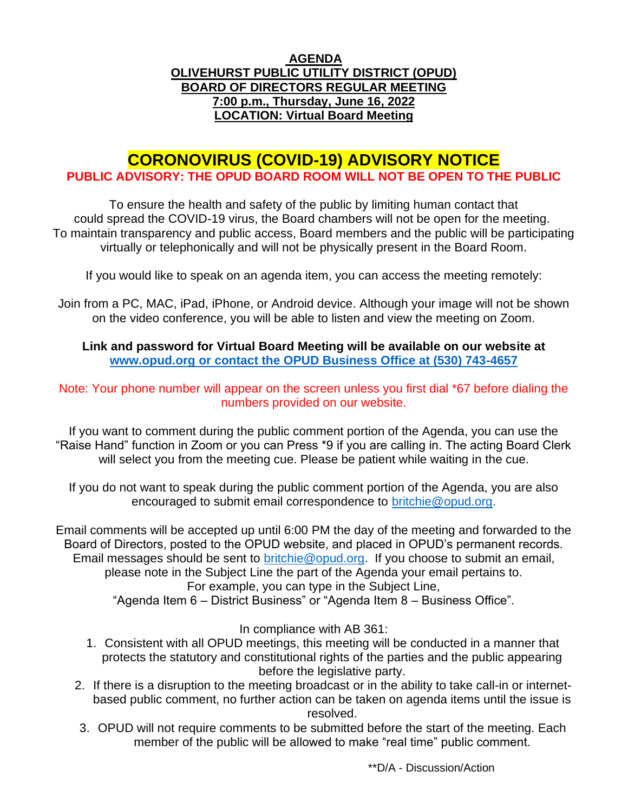## **AGENDA OLIVEHURST PUBLIC UTILITY DISTRICT (OPUD) BOARD OF DIRECTORS REGULAR MEETING 7:00 p.m., Thursday, June 16, 2022 LOCATION: Virtual Board Meeting**

# **CORONOVIRUS (COVID-19) ADVISORY NOTICE PUBLIC ADVISORY: THE OPUD BOARD ROOM WILL NOT BE OPEN TO THE PUBLIC**

To ensure the health and safety of the public by limiting human contact that could spread the COVID-19 virus, the Board chambers will not be open for the meeting. To maintain transparency and public access, Board members and the public will be participating virtually or telephonically and will not be physically present in the Board Room.

If you would like to speak on an agenda item, you can access the meeting remotely:

Join from a PC, MAC, iPad, iPhone, or Android device. Although your image will not be shown on the video conference, you will be able to listen and view the meeting on Zoom.

**Link and password for Virtual Board Meeting will be available on our website at [www.opud.org](http://www.opud.org/) or contact the OPUD Business Office at (530) 743-4657**

Note: Your phone number will appear on the screen unless you first dial \*67 before dialing the numbers provided on our website.

If you want to comment during the public comment portion of the Agenda, you can use the "Raise Hand" function in Zoom or you can Press \*9 if you are calling in. The acting Board Clerk will select you from the meeting cue. Please be patient while waiting in the cue.

If you do not want to speak during the public comment portion of the Agenda, you are also encouraged to submit email correspondence to [britchie@opud.org.](mailto:britchie@opud.org)

Email comments will be accepted up until 6:00 PM the day of the meeting and forwarded to the Board of Directors, posted to the OPUD website, and placed in OPUD's permanent records. Email messages should be sent to [britchie@opud.org.](mailto:britchie@opud.org) If you choose to submit an email, please note in the Subject Line the part of the Agenda your email pertains to. For example, you can type in the Subject Line,

"Agenda Item 6 – District Business" or "Agenda Item 8 – Business Office".

In compliance with AB 361:

- 1. Consistent with all OPUD meetings, this meeting will be conducted in a manner that protects the statutory and constitutional rights of the parties and the public appearing before the legislative party.
- 2. If there is a disruption to the meeting broadcast or in the ability to take call-in or internetbased public comment, no further action can be taken on agenda items until the issue is resolved.
- 3. OPUD will not require comments to be submitted before the start of the meeting. Each member of the public will be allowed to make "real time" public comment.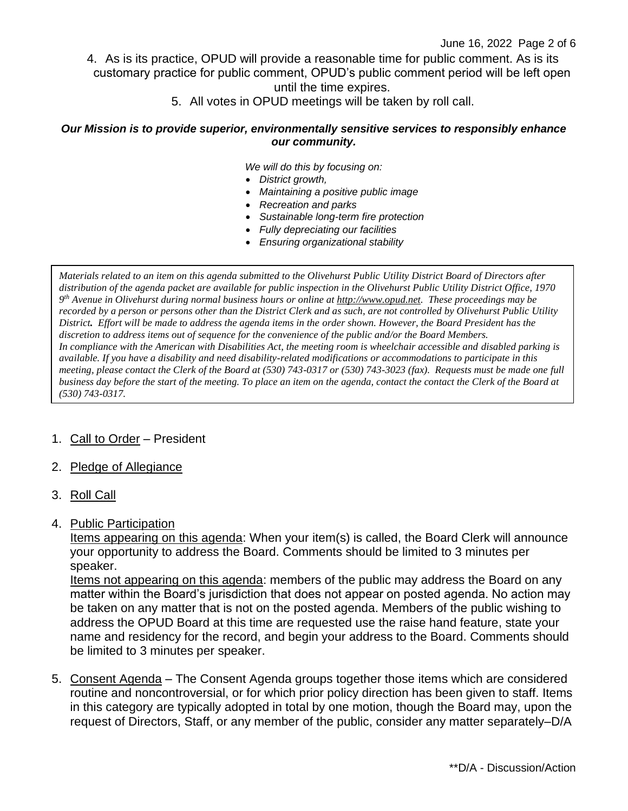- 4. As is its practice, OPUD will provide a reasonable time for public comment. As is its customary practice for public comment, OPUD's public comment period will be left open until the time expires.
	- 5. All votes in OPUD meetings will be taken by roll call.

#### *Our Mission is to provide superior, environmentally sensitive services to responsibly enhance our community.*

*We will do this by focusing on:*

- *District growth,*
- *Maintaining a positive public image*
- *Recreation and parks*
- *Sustainable long-term fire protection*
- *Fully depreciating our facilities*
- *Ensuring organizational stability*

*Materials related to an item on this agenda submitted to the Olivehurst Public Utility District Board of Directors after distribution of the agenda packet are available for public inspection in the Olivehurst Public Utility District Office, 1970 9 th Avenue in Olivehurst during normal business hours or online a[t http://www.opud.net.](http://www.opud.net/) These proceedings may be recorded by a person or persons other than the District Clerk and as such, are not controlled by Olivehurst Public Utility District. Effort will be made to address the agenda items in the order shown. However, the Board President has the discretion to address items out of sequence for the convenience of the public and/or the Board Members. In compliance with the American with Disabilities Act, the meeting room is wheelchair accessible and disabled parking is available. If you have a disability and need disability-related modifications or accommodations to participate in this meeting, please contact the Clerk of the Board at (530) 743-0317 or (530) 743-3023 (fax). Requests must be made one full business day before the start of the meeting. To place an item on the agenda, contact the contact the Clerk of the Board at (530) 743-0317.*

#### 1. Call to Order – President

#### 2. Pledge of Allegiance

3. Roll Call

#### 4. Public Participation

Items appearing on this agenda: When your item(s) is called, the Board Clerk will announce your opportunity to address the Board. Comments should be limited to 3 minutes per speaker.

Items not appearing on this agenda: members of the public may address the Board on any matter within the Board's jurisdiction that does not appear on posted agenda. No action may be taken on any matter that is not on the posted agenda. Members of the public wishing to address the OPUD Board at this time are requested use the raise hand feature, state your name and residency for the record, and begin your address to the Board. Comments should be limited to 3 minutes per speaker.

5. Consent Agenda – The Consent Agenda groups together those items which are considered routine and noncontroversial, or for which prior policy direction has been given to staff. Items in this category are typically adopted in total by one motion, though the Board may, upon the request of Directors, Staff, or any member of the public, consider any matter separately–D/A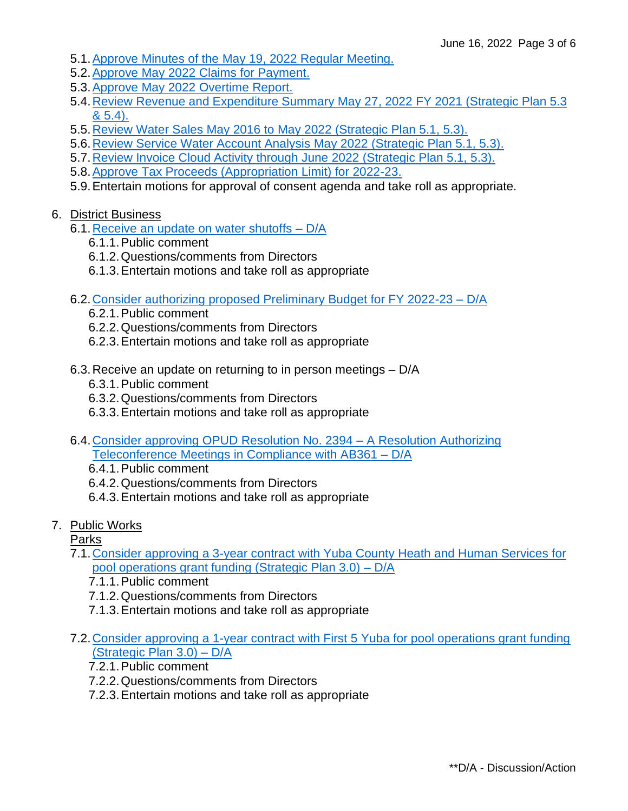- 5.1[.Approve Minutes of the May 19,](https://www.opud.org/files/d10a2342f/05.01_Minutes-5-19-2022.pdf) 2022 Regular Meeting.
- 5.2.Approve May 2022 [Claims for Payment.](https://www.opud.org/files/c32c0bc08/05.02_Claims_for_Payment_May_2022.pdf)
- 5.3.Approve May 2022 [Overtime Report.](https://www.opud.org/files/0589789a8/05.03_OT_Report_May_2022.pdf)
- 5.4[.Review Revenue and Expenditure Summary](https://www.opud.org/files/fe02f384d/05.04_Revenue_and_Expenditures_FY_2021-22.pdf) May 27, 2022 FY 2021 (Strategic Plan 5.3 [& 5.4\).](https://www.opud.org/files/fe02f384d/05.04_Revenue_and_Expenditures_FY_2021-22.pdf)
- 5.5[.Review Water Sales May](https://www.opud.org/files/cae873a19/05.05_Water_Sales_Revenue_Comparison_June_2022.pdf) 2016 to May 2022 (Strategic Plan 5.1, 5.3).
- 5.6[.Review Service Water Account Analysis](https://www.opud.org/files/7f907dc12/05.06_Water_Account_Analysis_May_2022.pdf) May 2022 (Strategic Plan 5.1, 5.3).
- 5.7[.Review Invoice Cloud Activity through June](https://www.opud.org/files/a8779f6e5/05.07_Invoice_Cloud_Activity_June_2022.pdf) 2022 (Strategic Plan 5.1, 5.3).
- 5.8[.Approve Tax Proceeds \(Appropriation Limit\) for 2022-23.](https://www.opud.org/files/ed9d4a1b1/05.08_Tax_Proceeds_Appropriation_Limit_FY_2022-23.pdf)
- 5.9.Entertain motions for approval of consent agenda and take roll as appropriate.

#### 6. District Business

- 6.1. Receive an update on water shutoffs D/A
	- 6.1.1.Public comment
	- 6.1.2.Questions/comments from Directors
	- 6.1.3.Entertain motions and take roll as appropriate
- 6.2[.Consider authorizing proposed Preliminary Budget for FY 2022-23 –](https://www.opud.org/files/23ae2957d/06.02_Staff_Report_Preliminary_Budget_FY_2022-23.pdf) D/A
	- 6.2.1.Public comment
	- 6.2.2.Questions/comments from Directors
	- 6.2.3.Entertain motions and take roll as appropriate
- 6.3.Receive an update on returning to in person meetings D/A
	- 6.3.1.Public comment
	- 6.3.2.Questions/comments from Directors
	- 6.3.3.Entertain motions and take roll as appropriate
- 6.4[.Consider approving OPUD Resolution No. 2394 –](https://www.opud.org/files/77a1df71e/06.04_RESOLUTION_NO_2394-OPUD_Updated_Resolution_Pursuant_to_AB_361.pdf) A Resolution Authorizing [Teleconference Meetings in Compliance with AB361 –](https://www.opud.org/files/77a1df71e/06.04_RESOLUTION_NO_2394-OPUD_Updated_Resolution_Pursuant_to_AB_361.pdf) D/A
	- 6.4.1.Public comment
	- 6.4.2.Questions/comments from Directors
	- 6.4.3.Entertain motions and take roll as appropriate
- 7. Public Works

Parks

- 7.1[.Consider approving a 3-year contract with Yuba County Heath and Human Services for](https://www.opud.org/files/b1dc92420/07.01_Staff_Report_YCHHS_2022_Grant_Contract.pdf)  [pool operations grant funding \(Strategic Plan 3.0\)](https://www.opud.org/files/b1dc92420/07.01_Staff_Report_YCHHS_2022_Grant_Contract.pdf) – D/A
	- 7.1.1.Public comment
	- 7.1.2.Questions/comments from Directors
	- 7.1.3.Entertain motions and take roll as appropriate
- 7.2[.Consider approving a 1-year contract with First 5 Yuba for pool operations grant funding](https://www.opud.org/files/fec67047c/07.02_Staff_Report_First5_2022_Grant_Contract.pdf)  [\(Strategic Plan 3.0\) –](https://www.opud.org/files/fec67047c/07.02_Staff_Report_First5_2022_Grant_Contract.pdf) D/A
	- 7.2.1.Public comment
	- 7.2.2.Questions/comments from Directors
	- 7.2.3.Entertain motions and take roll as appropriate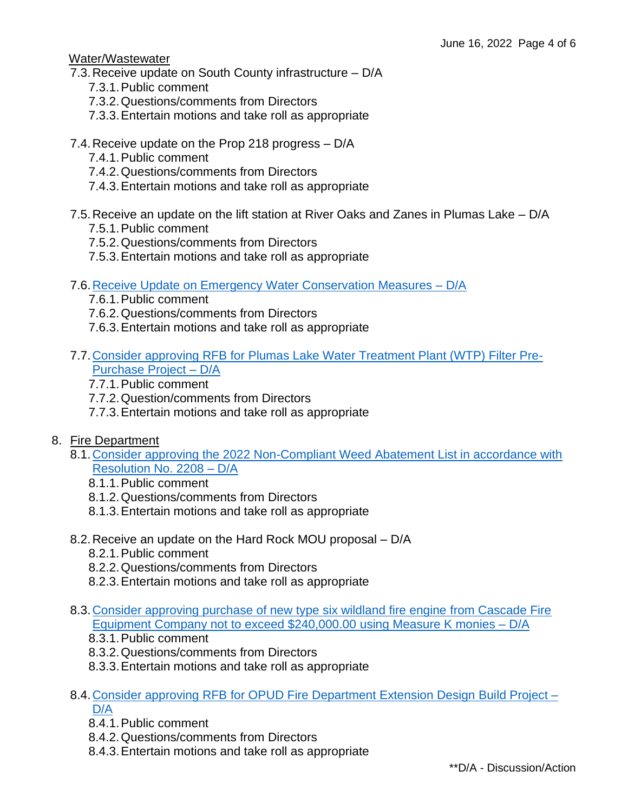#### Water/Wastewater

- 7.3.Receive update on South County infrastructure D/A
	- 7.3.1.Public comment
	- 7.3.2.Questions/comments from Directors
	- 7.3.3.Entertain motions and take roll as appropriate
- 7.4.Receive update on the Prop 218 progress D/A
	- 7.4.1.Public comment
	- 7.4.2.Questions/comments from Directors
	- 7.4.3.Entertain motions and take roll as appropriate
- 7.5.Receive an update on the lift station at River Oaks and Zanes in Plumas Lake D/A
	- 7.5.1.Public comment
	- 7.5.2.Questions/comments from Directors
	- 7.5.3.Entertain motions and take roll as appropriate
- 7.6[.Receive Update on Emergency Water Conservation Measures –](https://www.opud.org/files/227cba149/07.06_Staff_Report_Water_Savings-combined.pdf) D/A
	- 7.6.1.Public comment
	- 7.6.2.Questions/comments from Directors
	- 7.6.3.Entertain motions and take roll as appropriate
- 7.7[.Consider approving RFB for Plumas Lake Water Treatment Plant \(WTP\) Filter Pre-](https://www.opud.org/files/5349521ec/07.07_Staff_Report_Plumas_Lake_WTP_Filter_Pre-Purchase_Project.pdf)[Purchase Project –](https://www.opud.org/files/5349521ec/07.07_Staff_Report_Plumas_Lake_WTP_Filter_Pre-Purchase_Project.pdf) D/A
	- 7.7.1.Public comment
	- 7.7.2.Question/comments from Directors
	- 7.7.3.Entertain motions and take roll as appropriate
- 8. Fire Department
	- 8.1[.Consider approving the 2022 Non-Compliant Weed Abatement List in accordance with](https://www.opud.org/files/b203b828f/08.01_Staff_Report_Weed_Abatement_Non-Compliant_List_2022.pdf)  [Resolution No. 2208](https://www.opud.org/files/b203b828f/08.01_Staff_Report_Weed_Abatement_Non-Compliant_List_2022.pdf) – D/A
		- 8.1.1.Public comment
		- 8.1.2.Questions/comments from Directors
		- 8.1.3.Entertain motions and take roll as appropriate
	- 8.2.Receive an update on the Hard Rock MOU proposal D/A
		- 8.2.1.Public comment
		- 8.2.2.Questions/comments from Directors
		- 8.2.3.Entertain motions and take roll as appropriate
	- 8.3[.Consider approving purchase of new type six wildland fire engine from Cascade Fire](https://www.opud.org/files/01ed6f338/08.03_Staff_Report_Purchase_Type_Six_Fire_Truck_Using_Measure_K_Monies.pdf)  [Equipment Company not to exceed \\$240,000.00 using Measure K monies –](https://www.opud.org/files/01ed6f338/08.03_Staff_Report_Purchase_Type_Six_Fire_Truck_Using_Measure_K_Monies.pdf) D/A
		- 8.3.1.Public comment
		- 8.3.2.Questions/comments from Directors
		- 8.3.3.Entertain motions and take roll as appropriate
	- 8.4[.Consider approving RFB for OPUD Fire Department Extension Design Build Project](https://www.opud.org/files/d1b7bb147/08.04_Staff_Report_RFB_OPUD_Fire_Dept_Bay_Extension.pdf) [D/A](https://www.opud.org/files/d1b7bb147/08.04_Staff_Report_RFB_OPUD_Fire_Dept_Bay_Extension.pdf)
		- 8.4.1.Public comment
		- 8.4.2.Questions/comments from Directors
		- 8.4.3.Entertain motions and take roll as appropriate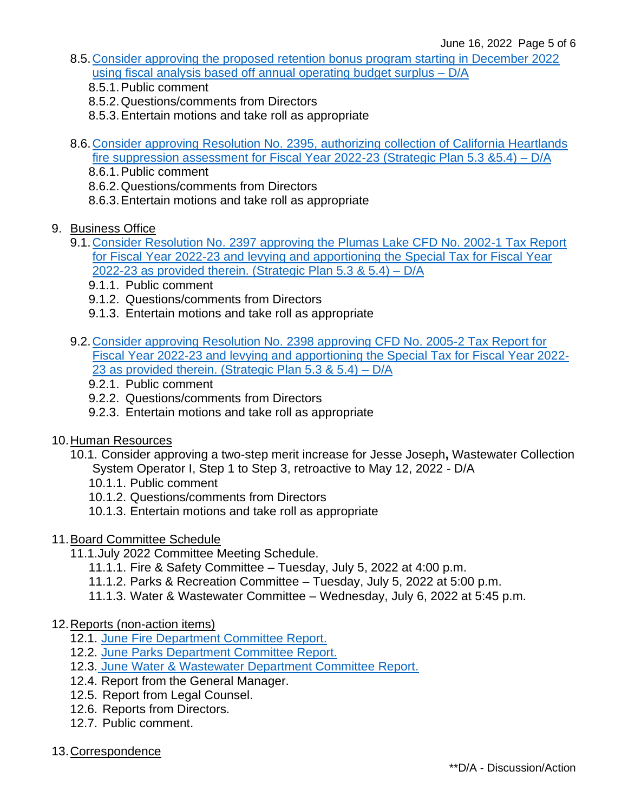- 8.5[.Consider approving the proposed retention bonus program starting in December 2022](https://www.opud.org/files/a63e912be/08.05_Staff_Report_Retention_Bonus_Program.pdf)  [using fiscal analysis based off annual operating budget surplus –](https://www.opud.org/files/a63e912be/08.05_Staff_Report_Retention_Bonus_Program.pdf) D/A
	- 8.5.1.Public comment
	- 8.5.2.Questions/comments from Directors
	- 8.5.3.Entertain motions and take roll as appropriate
- 8.6[.Consider approving Resolution No. 2395, authorizing collection of California Heartlands](https://www.opud.org/files/881b92a1b/08.06_Resolution_No_2395_California_Heartland_Fire_Suppression_Assessment.pdf)  [fire suppression assessment for Fiscal Year 2022-23](https://www.opud.org/files/881b92a1b/08.06_Resolution_No_2395_California_Heartland_Fire_Suppression_Assessment.pdf) (Strategic Plan 5.3 &5.4) – D/A
	- 8.6.1.Public comment
	- 8.6.2.Questions/comments from Directors
	- 8.6.3.Entertain motions and take roll as appropriate
- 9. Business Office
	- 9.1.Consider Resolution No. 2397 [approving the Plumas Lake CFD No. 2002-1 Tax Report](https://www.opud.org/files/3ec4092cf/09.01_RESOLUTION_NO_2397-CFD_2002-1_Tax_Levy_FY_2022-23.pdf)  [for Fiscal Year 2022-23 and levying and apportioning the Special Tax for Fiscal Year](https://www.opud.org/files/3ec4092cf/09.01_RESOLUTION_NO_2397-CFD_2002-1_Tax_Levy_FY_2022-23.pdf)  2022-23 [as provided therein. \(Strategic Plan 5.3 & 5.4\) –](https://www.opud.org/files/3ec4092cf/09.01_RESOLUTION_NO_2397-CFD_2002-1_Tax_Levy_FY_2022-23.pdf) D/A
		- 9.1.1. Public comment
		- 9.1.2. Questions/comments from Directors
		- 9.1.3. Entertain motions and take roll as appropriate
	- 9.2.Consider approving Resolution No. 2398 [approving CFD No. 2005-2 Tax Report for](https://www.opud.org/files/a6636dce2/09.02_RESOLUTION_NO_2398-CFD_2005-2_Tax_Levy_FY_2022-23.pdf)  [Fiscal Year 2022-23 and levying and apportioning the Special Tax for Fiscal Year 2022-](https://www.opud.org/files/a6636dce2/09.02_RESOLUTION_NO_2398-CFD_2005-2_Tax_Levy_FY_2022-23.pdf) 23 [as provided therein. \(Strategic Plan 5.3 & 5.4\) –](https://www.opud.org/files/a6636dce2/09.02_RESOLUTION_NO_2398-CFD_2005-2_Tax_Levy_FY_2022-23.pdf) D/A
		- 9.2.1. Public comment
		- 9.2.2. Questions/comments from Directors
		- 9.2.3. Entertain motions and take roll as appropriate
- 10.Human Resources
	- 10.1. Consider approving a two-step merit increase for Jesse Joseph**,** Wastewater Collection System Operator I, Step 1 to Step 3, retroactive to May 12, 2022 - D/A
		- 10.1.1. Public comment
		- 10.1.2. Questions/comments from Directors
		- 10.1.3. Entertain motions and take roll as appropriate
- 11.Board Committee Schedule
	- 11.1.July 2022 Committee Meeting Schedule.
		- 11.1.1. Fire & Safety Committee Tuesday, July 5, 2022 at 4:00 p.m.
		- 11.1.2. Parks & Recreation Committee Tuesday, July 5, 2022 at 5:00 p.m.
		- 11.1.3. Water & Wastewater Committee Wednesday, July 6, 2022 at 5:45 p.m.
- 12.Reports (non-action items)
	- 12.1. June Fire [Department Committee Report.](https://www.opud.org/files/6a21d182a/12.01_Committee_Report-June_2022_Fire-Safety.pdf)
	- 12.2. June [Parks Department Committee Report.](https://www.opud.org/files/64f785ac0/12.02_Committee_Report-June_2022_Parks.pdf)
	- 12.3. June [Water & Wastewater Department Committee Report.](https://www.opud.org/files/3474f5951/12.03_Committee_Report-June_2022_Water-Wastewater.pdf)
	- 12.4. Report from the General Manager.
	- 12.5. Report from Legal Counsel.
	- 12.6. Reports from Directors.
	- 12.7. Public comment.
- 13.Correspondence